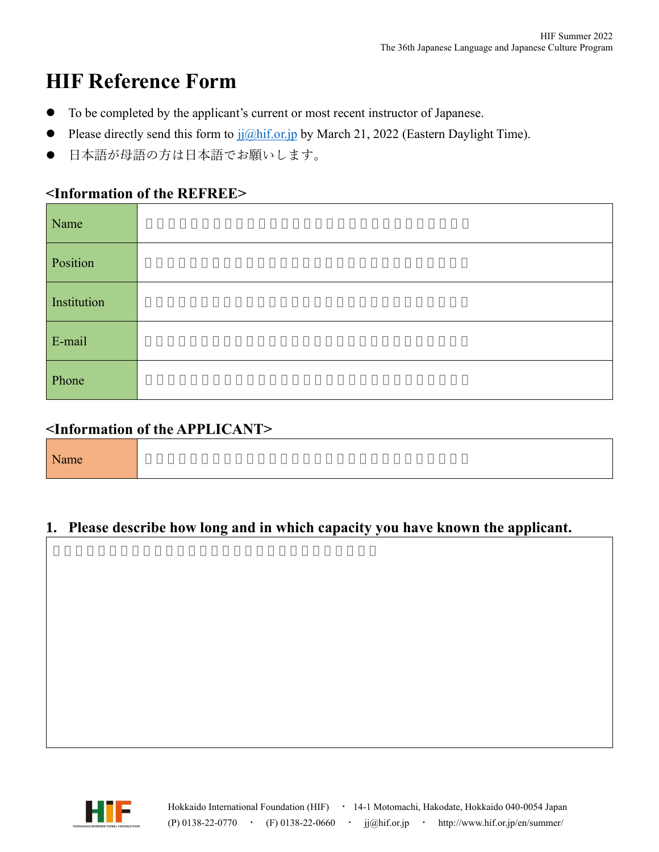# **HIF Reference Form**

- ⚫ To be completed by the applicant's current or most recent instructor of Japanese.
- Please directly send this form to  $j\tilde{j}$  (*Qhif.or.jp* by March 21, 2022 (Eastern Daylight Time).
- 日本語が母語の方は日本語でお願いします。

## **<Information of the REFREE>**

| Name        |  |
|-------------|--|
| Position    |  |
| Institution |  |
| E-mail      |  |
| Phone       |  |

## **<Information of the APPLICANT>**

|--|

#### **1. Please describe how long and in which capacity you have known the applicant.**

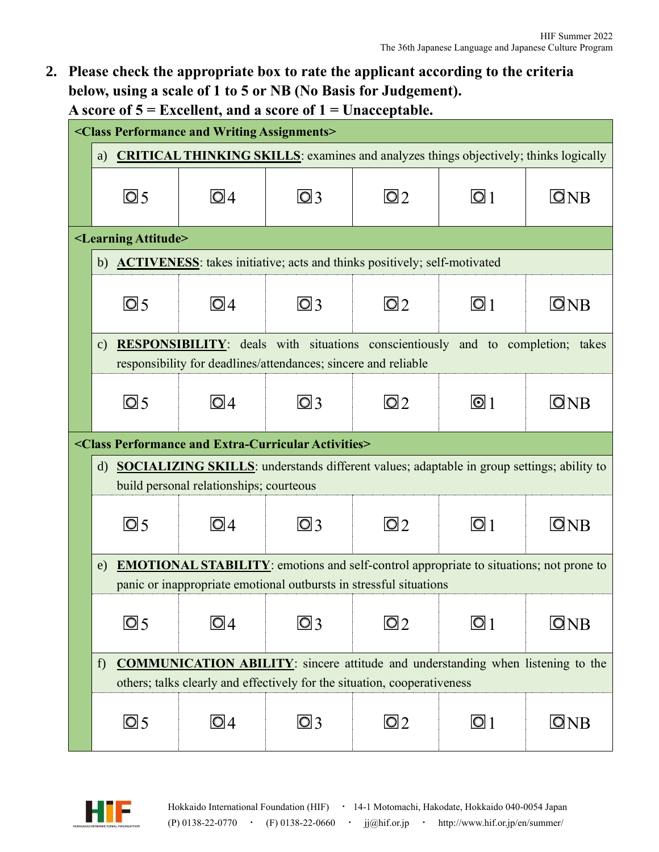**2. Please check the appropriate box to rate the applicant according to the criteria below, using a scale of 1 to 5 or NB (No Basis for Judgement). A score of 5 = Excellent, and a score of 1 = Unacceptable.**

| <class and="" assignments="" performance="" writing=""></class>                                        |                                                                         |                                       |                           |                          |                                    |  |  |  |
|--------------------------------------------------------------------------------------------------------|-------------------------------------------------------------------------|---------------------------------------|---------------------------|--------------------------|------------------------------------|--|--|--|
| a) CRITICAL THINKING SKILLS: examines and analyzes things objectively; thinks logically                |                                                                         |                                       |                           |                          |                                    |  |  |  |
| $\overline{\text{O}}$ 5                                                                                | $\overline{\text{O}}$ 4                                                 | $\overline{\textcircled{\textsf{3}}}$ | $\overline{\mathsf{O}}$ 2 | $\overline{\textcirc}$ 1 | $\Box$ NB                          |  |  |  |
| <learning attitude=""></learning>                                                                      |                                                                         |                                       |                           |                          |                                    |  |  |  |
| <b>ACTIVENESS:</b> takes initiative; acts and thinks positively; self-motivated<br>b)                  |                                                                         |                                       |                           |                          |                                    |  |  |  |
| $\overline{\text{O}}$ 5                                                                                | $\overline{\textsf{O}}$ 4                                               | $\overline{\textcircled{\small{2}}}$  | $\overline{\text{O}}$ 2   | $\overline{\text{O}}$ 1  | ONB                                |  |  |  |
| <b>RESPONSIBILITY:</b> deals with situations conscientiously and to completion; takes<br>$\mathbf{c})$ |                                                                         |                                       |                           |                          |                                    |  |  |  |
| responsibility for deadlines/attendances; sincere and reliable                                         |                                                                         |                                       |                           |                          |                                    |  |  |  |
| $\overline{\text{O}}$ 5                                                                                | $\overline{\text{O}}$ 4                                                 | $\overline{\textcircled{\small{2}}}$  | @2                        | $\odot$ 1                | $\overline{\textsf{O}}\textsf{NB}$ |  |  |  |
|                                                                                                        | <class activities="" and="" extra-curricular="" performance=""></class> |                                       |                           |                          |                                    |  |  |  |
| d) SOCIALIZING SKILLS: understands different values; adaptable in group settings; ability to           |                                                                         |                                       |                           |                          |                                    |  |  |  |
| build personal relationships; courteous                                                                |                                                                         |                                       |                           |                          |                                    |  |  |  |
| $\overline{\text{O}}$ 5                                                                                | $\overline{\textsf{O}}$ 4                                               | $\Box$ 3                              | @2                        | $\overline{\text{O}}$ 1  | ONB                                |  |  |  |
| <b>EMOTIONAL STABILITY:</b> emotions and self-control appropriate to situations; not prone to<br>e)    |                                                                         |                                       |                           |                          |                                    |  |  |  |
|                                                                                                        | panic or inappropriate emotional outbursts in stressful situations      |                                       |                           |                          |                                    |  |  |  |
| $\overline{\text{O}}$ 5                                                                                | O 4                                                                     | $\Box$ 3                              | $\boxdot 2$               | $\Omega$ 1               | ONB                                |  |  |  |
| <b>COMMUNICATION ABILITY:</b> sincere attitude and understanding when listening to the<br>f)           |                                                                         |                                       |                           |                          |                                    |  |  |  |
| others; talks clearly and effectively for the situation, cooperativeness                               |                                                                         |                                       |                           |                          |                                    |  |  |  |
| $\overline{\text{O}}$ 5                                                                                | $\Box$ 4                                                                | $\Box$ 3                              | $\Omega$                  | $\overline{\text{O}}$ 1  | ONB                                |  |  |  |

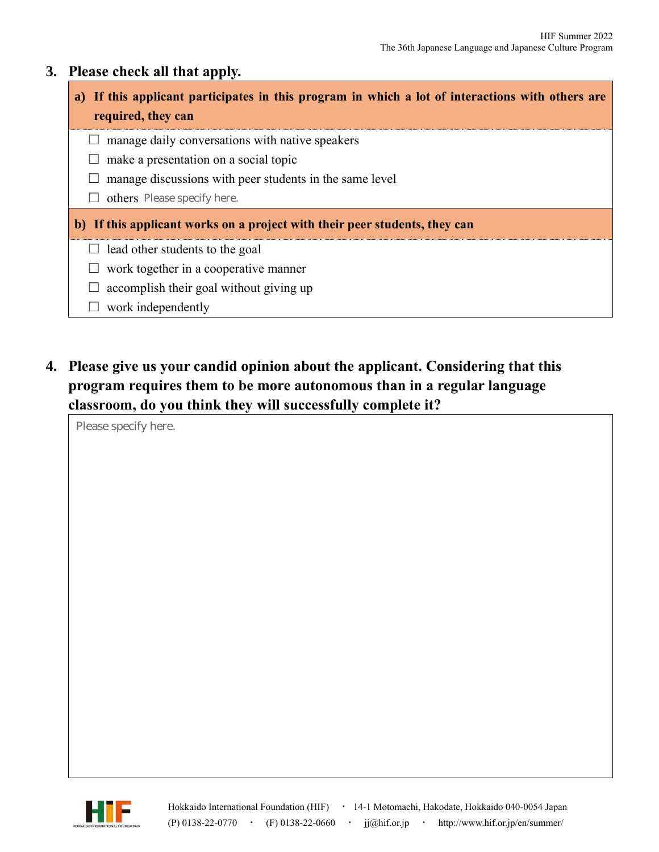#### **3. Please check all that apply.**

## **a) If this applicant participates in this program in which a lot of interactions with others are required, they can**

- $\Box$  manage daily conversations with native speakers
- $\Box$  make a presentation on a social topic
- $\Box$  manage discussions with peer students in the same level
- □ others Please specify here.

#### **b) If this applicant works on a project with their peer students, they can**

- $\Box$  lead other students to the goal
- $\Box$  work together in a cooperative manner
- $\Box$  accomplish their goal without giving up
- $\Box$  work independently
- **4. Please give us your candid opinion about the applicant. Considering that this program requires them to be more autonomous than in a regular language classroom, do you think they will successfully complete it?**

Please specify here.